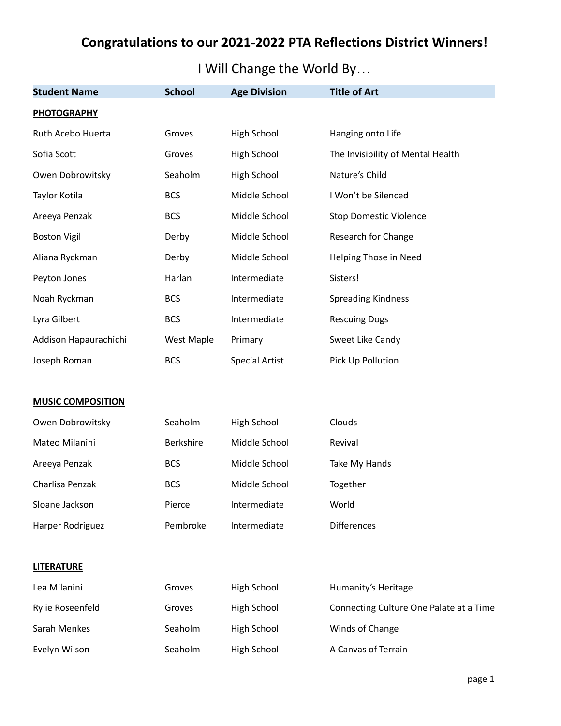# **Congratulations to our 2021-2022 PTA Reflections District Winners!**

I Will Change the World By…

| <b>Student Name</b>      | <b>School</b>     | <b>Age Division</b>   | <b>Title of Art</b>                     |
|--------------------------|-------------------|-----------------------|-----------------------------------------|
| <b>PHOTOGRAPHY</b>       |                   |                       |                                         |
| Ruth Acebo Huerta        | Groves            | High School           | Hanging onto Life                       |
| Sofia Scott              | Groves            | High School           | The Invisibility of Mental Health       |
| Owen Dobrowitsky         | Seaholm           | High School           | Nature's Child                          |
| Taylor Kotila            | <b>BCS</b>        | Middle School         | I Won't be Silenced                     |
| Areeya Penzak            | <b>BCS</b>        | Middle School         | <b>Stop Domestic Violence</b>           |
| <b>Boston Vigil</b>      | Derby             | Middle School         | Research for Change                     |
| Aliana Ryckman           | Derby             | Middle School         | Helping Those in Need                   |
| Peyton Jones             | Harlan            | Intermediate          | Sisters!                                |
| Noah Ryckman             | <b>BCS</b>        | Intermediate          | <b>Spreading Kindness</b>               |
| Lyra Gilbert             | <b>BCS</b>        | Intermediate          | <b>Rescuing Dogs</b>                    |
| Addison Hapaurachichi    | <b>West Maple</b> | Primary               | Sweet Like Candy                        |
| Joseph Roman             | <b>BCS</b>        | <b>Special Artist</b> | Pick Up Pollution                       |
|                          |                   |                       |                                         |
| <b>MUSIC COMPOSITION</b> |                   |                       |                                         |
| Owen Dobrowitsky         | Seaholm           | High School           | Clouds                                  |
| Mateo Milanini           | Berkshire         | Middle School         | Revival                                 |
| Areeya Penzak            | <b>BCS</b>        | Middle School         | Take My Hands                           |
| Charlisa Penzak          | <b>BCS</b>        | Middle School         | Together                                |
| Sloane Jackson           | Pierce            | Intermediate          | World                                   |
| Harper Rodriguez         | Pembroke          | Intermediate          | <b>Differences</b>                      |
|                          |                   |                       |                                         |
| <b>LITERATURE</b>        |                   |                       |                                         |
| Lea Milanini             | Groves            | <b>High School</b>    | Humanity's Heritage                     |
| Rylie Roseenfeld         | Groves            | High School           | Connecting Culture One Palate at a Time |
| Sarah Menkes             | Seaholm           | High School           | Winds of Change                         |
| Evelyn Wilson            | Seaholm           | High School           | A Canvas of Terrain                     |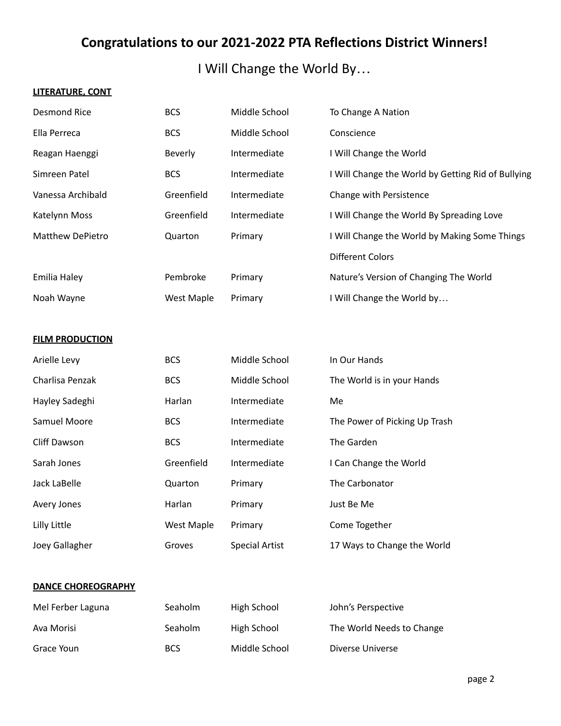# **Congratulations to our 2021-2022 PTA Reflections District Winners!**

I Will Change the World By…

### **LITERATURE, CONT**

| <b>Desmond Rice</b>    | <b>BCS</b>        | Middle School         | To Change A Nation                                 |
|------------------------|-------------------|-----------------------|----------------------------------------------------|
| Ella Perreca           | <b>BCS</b>        | Middle School         | Conscience                                         |
| Reagan Haenggi         | Beverly           | Intermediate          | I Will Change the World                            |
| Simreen Patel          | <b>BCS</b>        | Intermediate          | I Will Change the World by Getting Rid of Bullying |
| Vanessa Archibald      | Greenfield        | Intermediate          | Change with Persistence                            |
| Katelynn Moss          | Greenfield        | Intermediate          | I Will Change the World By Spreading Love          |
| Matthew DePietro       | Quarton           | Primary               | I Will Change the World by Making Some Things      |
|                        |                   |                       | <b>Different Colors</b>                            |
| Emilia Haley           | Pembroke          | Primary               | Nature's Version of Changing The World             |
| Noah Wayne             | <b>West Maple</b> | Primary               | I Will Change the World by                         |
|                        |                   |                       |                                                    |
| <b>FILM PRODUCTION</b> |                   |                       |                                                    |
| Arielle Levy           | <b>BCS</b>        | Middle School         | In Our Hands                                       |
| Charlisa Penzak        | <b>BCS</b>        | Middle School         | The World is in your Hands                         |
| Hayley Sadeghi         | Harlan            | Intermediate          | Me                                                 |
| Samuel Moore           | <b>BCS</b>        | Intermediate          | The Power of Picking Up Trash                      |
| <b>Cliff Dawson</b>    | <b>BCS</b>        | Intermediate          | The Garden                                         |
| Sarah Jones            | Greenfield        | Intermediate          | I Can Change the World                             |
| Jack LaBelle           | Quarton           | Primary               | The Carbonator                                     |
| Avery Jones            | Harlan            | Primary               | Just Be Me                                         |
| Lilly Little           | West Maple        | Primary               | Come Together                                      |
| Joey Gallagher         | Groves            | <b>Special Artist</b> | 17 Ways to Change the World                        |
|                        |                   |                       |                                                    |

### **DANCE CHOREOGRAPHY**

| Mel Ferber Laguna | Seaholm    | High School   | John's Perspective        |
|-------------------|------------|---------------|---------------------------|
| Ava Morisi        | Seaholm    | High School   | The World Needs to Change |
| Grace Youn        | <b>BCS</b> | Middle School | Diverse Universe          |